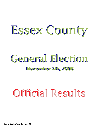# Essex County Essex County

### **November 4th, 2008 November 4th, 2008** General Election

## Official Results Official Results

General Election November 4th, 2008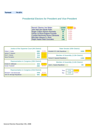### **Turnout 74.42%**

### Presidential Electors for President and Vice-President

| 10390 | 55.89% | 阳      |
|-------|--------|--------|
| 7913  |        |        |
| 29    | 0.16%  |        |
| 9     | 0.05%  |        |
| 35    | 0.19%  |        |
| 66    | 0.36%  |        |
| 148   | 0.80%  |        |
|       |        | 42.57% |

| Justice of the Supreme Court (4th District)                                                          |              |                  |                                 | State Senator (45th District)                |         |
|------------------------------------------------------------------------------------------------------|--------------|------------------|---------------------------------|----------------------------------------------|---------|
| Robert J. Muller<br>James P. Dawson                                                                  | 6565<br>8456 | 22.60%<br>29.11% | Elizabeth O'C Little Republican | 12935                                        | 100.00% |
| Vito C. Caruso<br>Steve Ferradino                                                                    | 7110<br>6919 | 24.48%<br>23.82% | Teresa R. Sayward Republican    | Member of Assembly (113th District)<br>11950 | 100.00% |
| Representative in Congress (20th District)<br>Kirsten E. Gillibrand                                  | 3048         | 51.59%           |                                 | Member of Assembly (114th District)          |         |
| <b>Sandy Treadwell</b>                                                                               | 2860         | 48.41%           | Janet L. Duprey Republican      | 393                                          | 100.00% |
| Representative in Congress (23rd District)<br>Michael P. Oot Democratic<br>John M. McHugh Republican | 3748<br>5691 | 39.71%<br>60.29% | Yes:<br>No:                     | 79.44%<br>5792<br>20.56%<br>1499             |         |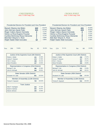### CHESTERFIELD Assy 113th-Cong 23rd

### CROWN POINT Assy 113th-Cong 23rd

49.48% 49.83% 0.00% 0.11% 0.00% 0.11% 0.46%

| <b>Presidential Electors for President and Vice-President</b>                                                                                                                                              |                                                                |                                                               |      | <b>Presidential Electors for President and Vice-President</b>                                                                                                                                              |     |                                            |                                                               |
|------------------------------------------------------------------------------------------------------------------------------------------------------------------------------------------------------------|----------------------------------------------------------------|---------------------------------------------------------------|------|------------------------------------------------------------------------------------------------------------------------------------------------------------------------------------------------------------|-----|--------------------------------------------|---------------------------------------------------------------|
| Barack Obama-Joe Biden<br>John McCain-Sarah Palin<br>Roger Calero-Alyson Kennedy<br>Gloria La Riva-Eugene Puryear<br>Cynthia McKinney-Rosa Clemente<br>Bob Barr-Wayne A. Root<br>Ralph Nader-Matt Gonzalez | 622<br>521<br>$\overline{2}$<br>1<br>$\overline{2}$<br>1<br>10 | 53.67%<br>44.95%<br>0.17%<br>0.09%<br>0.17%<br>0.09%<br>0.86% |      | Barack Obama-Joe Biden<br>John McCain-Sarah Palin<br>Roger Calero-Alyson Kennedy<br>Gloria La Riva-Eugene Puryear<br>Cynthia McKinney-Rosa Clemente<br>Bob Barr-Wayne A. Root<br>Ralph Nader-Matt Gonzalez |     | 431<br>434<br>0<br>1<br>$\bf{0}$<br>1<br>4 | 49.48%<br>49.83%<br>0.00%<br>0.11%<br>0.00%<br>0.11%<br>0.46% |
| 73.68%<br>266<br>Yes:<br>No:                                                                                                                                                                               |                                                                | 26.32%<br>95                                                  | Yes: | 76.71%<br>224                                                                                                                                                                                              | No: | 68                                         | 23.29%                                                        |
|                                                                                                                                                                                                            |                                                                |                                                               |      |                                                                                                                                                                                                            |     |                                            |                                                               |
| Justice of the Supreme Court (4th District)<br>Robert J. Muller                                                                                                                                            | 421                                                            | 24.48%                                                        |      | Justice of the Supreme Court (4th District)<br>Robert J. Muller                                                                                                                                            |     | 250                                        | 17.67%                                                        |
| James P. Dawson                                                                                                                                                                                            | 474                                                            | 27.56%                                                        |      | James P. Dawson                                                                                                                                                                                            |     | 417                                        | 29.47%                                                        |
| Vito C. Caruso                                                                                                                                                                                             | 398                                                            | 23.14%                                                        |      | Vito C. Caruso                                                                                                                                                                                             |     | 383                                        | 27.07%                                                        |
| <b>Steve Ferradino</b>                                                                                                                                                                                     | 427                                                            | 24.83%                                                        |      | <b>Steve Ferradino</b>                                                                                                                                                                                     |     | 365                                        | 25.80%                                                        |
| Representative in Congress (23rd District)                                                                                                                                                                 |                                                                |                                                               |      | Representative in Congress (23rd District)                                                                                                                                                                 |     |                                            |                                                               |
| Michael P. Oot                                                                                                                                                                                             | 396                                                            | 41.08%                                                        |      | Michael P. Oot                                                                                                                                                                                             |     | 212                                        | 31.69%                                                        |
| John M. McHugh                                                                                                                                                                                             | 568                                                            | 58.92%                                                        |      | John M. McHugh                                                                                                                                                                                             |     | 457                                        | 68.31%                                                        |
| State Senator (45th District)                                                                                                                                                                              |                                                                |                                                               |      | State Senator (45th District)                                                                                                                                                                              |     |                                            |                                                               |

| Member of Assembly (113th District) |     |         |
|-------------------------------------|-----|---------|
| Teresa R. Sayward                   | 730 | 100.00% |
| <b>Town Justice</b>                 |     |         |
| Allan P. Hachigian                  | 424 | 37.13%  |
| David A. Bashaw                     | 525 | 45.97%  |
| Steven Johnson                      | 193 | 16.90%  |

| Justice of the Supreme Court (4th District) |                                            |         |  |  |  |  |  |  |  |
|---------------------------------------------|--------------------------------------------|---------|--|--|--|--|--|--|--|
| Robert J. Muller                            | 250                                        | 17.67%  |  |  |  |  |  |  |  |
| James P. Dawson                             | 417                                        | 29.47%  |  |  |  |  |  |  |  |
| Vito C. Caruso                              | 383                                        | 27.07%  |  |  |  |  |  |  |  |
| Steve Ferradino                             | 365                                        | 25.80%  |  |  |  |  |  |  |  |
|                                             | Representative in Congress (23rd District) |         |  |  |  |  |  |  |  |
| Michael P. Oot                              | 212                                        | 31.69%  |  |  |  |  |  |  |  |
|                                             |                                            |         |  |  |  |  |  |  |  |
| John M. McHugh                              | 457                                        | 68.31%  |  |  |  |  |  |  |  |
| State Senator (45th District)               |                                            |         |  |  |  |  |  |  |  |
| Elizabeth O'C Little                        | 636                                        | 100.00% |  |  |  |  |  |  |  |
| Member of Assembly (113th District)         |                                            |         |  |  |  |  |  |  |  |
| Teresa R. Sayward                           | 612                                        | 100.00% |  |  |  |  |  |  |  |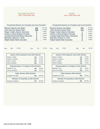### ELIZABETHTOWN Assy 113th-Cong 23rd

Representative in Congress (23rd District)

State Senator (45th District)

Member of Assembly (113th District)

### **ESSEX** Assy 113th-Cong 23rd

No: 48 26.97%

67.12% 30.98% 0.27% 0.00% 0.00% 1.09% 0.54%

|      |                                                                                                                                                                                                            |        | <b>Presidential Electors for President and Vice-President</b> |                                       |                                                                  |      |                  | <b>Presidential Electors for President and Vice-President</b>                                                                                                                                                     |     |                                       |                                                                                       |
|------|------------------------------------------------------------------------------------------------------------------------------------------------------------------------------------------------------------|--------|---------------------------------------------------------------|---------------------------------------|------------------------------------------------------------------|------|------------------|-------------------------------------------------------------------------------------------------------------------------------------------------------------------------------------------------------------------|-----|---------------------------------------|---------------------------------------------------------------------------------------|
|      | Barack Obama-Joe Biden<br>John McCain-Sarah Palin<br>Roger Calero-Alyson Kennedy<br>Gloria La Riva-Eugene Puryear<br>Cynthia McKinney-Rosa Clemente<br>Bob Barr-Wayne A. Root<br>Ralph Nader-Matt Gonzalez |        |                                                               | 341<br>249<br>$\bf{0}$<br>1<br>3<br>6 | 56.74%<br>41.43%<br>$0.00\%$<br>0.17%<br>0.17%<br>0.50%<br>1.00% |      |                  | Barack Obama-Joe Biden<br>John McCain-Sarah Palin<br>Roger Calero-Alyson Kennedy<br>Gloria La Riva-Eugene Puryear<br>Cynthia McKinney-Rosa Clemente<br>Bob Barr-Wayne A. Root<br><b>Ralph Nader-Matt Gonzalez</b> |     | 247<br>114<br>$\bf{0}$<br>0<br>4<br>2 | 67.12 <sup>c</sup><br>30.98 <sup>c</sup><br>0.27%<br>0.00%<br>0.00%<br>1.09%<br>0.54% |
| Yes: | 185                                                                                                                                                                                                        | 76.76% | No:                                                           | 56                                    | 23.24%                                                           | Yes: | 130              | 73.03%                                                                                                                                                                                                            | No: |                                       | 26.97<br>48                                                                           |
|      |                                                                                                                                                                                                            |        | Justice of the Supreme Court (4th District)                   |                                       |                                                                  |      |                  | Justice of the Supreme Court (4th District)                                                                                                                                                                       |     |                                       |                                                                                       |
|      | Robert J. Muller                                                                                                                                                                                           |        |                                                               | 143                                   | 13.70%                                                           |      | Robert J. Muller |                                                                                                                                                                                                                   |     | 176                                   | 27.85%                                                                                |
|      | James P. Dawson                                                                                                                                                                                            |        |                                                               | 447                                   | 42.82%                                                           |      | James P. Dawson  |                                                                                                                                                                                                                   |     | 182                                   | 28.80%                                                                                |
|      | Vito C. Caruso                                                                                                                                                                                             |        |                                                               | 231                                   | 22.13%                                                           |      | Vito C. Caruso   |                                                                                                                                                                                                                   |     | 141                                   | 22.31%                                                                                |

**231** 22.13%

21.36%

38.99% 61.01%

100.00%

100.00%

**223**

**193 302**

**462**

**470**

| Justice of the Supreme Court (4th District) |     |         |  |  |  |  |  |  |  |
|---------------------------------------------|-----|---------|--|--|--|--|--|--|--|
| Robert J. Muller                            | 176 | 27.85%  |  |  |  |  |  |  |  |
| James P. Dawson                             | 182 | 28.80%  |  |  |  |  |  |  |  |
| Vito C. Caruso                              | 141 | 22.31%  |  |  |  |  |  |  |  |
| Steve Ferradino                             | 133 | 21.04%  |  |  |  |  |  |  |  |
| Representative in Congress (23rd District)  |     |         |  |  |  |  |  |  |  |
| Michael P. Oot                              | 172 | 50.59%  |  |  |  |  |  |  |  |
| John M. McHugh                              | 168 | 49.41%  |  |  |  |  |  |  |  |
| State Senator (45th District)               |     |         |  |  |  |  |  |  |  |
| Elizabeth O'C Little                        | 263 | 100.00% |  |  |  |  |  |  |  |
| Member of Assembly (113th District)         |     |         |  |  |  |  |  |  |  |
| Teresa R. Sayward                           | 280 | 100.00% |  |  |  |  |  |  |  |

Steve Ferradino

Michael P. Oot John M. McHugh

Elizabeth O'C Little

Teresa R. Sayward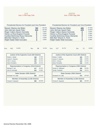

### KEENE Assy 113th-Cong 20th

| <b>Presidential Electors for President and Vice-President</b>                                                                                                                                                                                            |            |                                                                     | <b>Presidential Electors for President and Vice-President</b>                                                                                                                                                                                                               |                                                               |
|----------------------------------------------------------------------------------------------------------------------------------------------------------------------------------------------------------------------------------------------------------|------------|---------------------------------------------------------------------|-----------------------------------------------------------------------------------------------------------------------------------------------------------------------------------------------------------------------------------------------------------------------------|---------------------------------------------------------------|
| Barack Obama-Joe Biden<br>783<br>John McCain-Sarah Palin<br>524<br>Roger Calero-Alyson Kennedy<br>0<br>Gloria La Riva-Eugene Puryear<br>$\bf{0}$<br>Cynthia McKinney-Rosa Clemente<br>3<br>Bob Barr-Wayne A. Root<br>4<br>Ralph Nader-Matt Gonzalez<br>4 |            | 59.41%<br>39.76%<br>$0.00\%$<br>$0.00\%$<br>0.23%<br>0.30%<br>0.30% | Barack Obama-Joe Biden<br>485<br>John McCain-Sarah Palin<br>229<br>Roger Calero-Alyson Kennedy<br>0<br>Gloria La Riva-Eugene Puryear<br>0<br>Cynthia McKinney-Rosa Clemente<br>$\overline{2}$<br>Bob Barr-Wayne A. Root<br>1<br>Ralph Nader-Matt Gonzalez<br>$\overline{2}$ | 67.45%<br>31.85%<br>0.00%<br>0.00%<br>0.28%<br>0.14%<br>0.28% |
| 81.85%<br>442<br>Yes:<br>No:<br>Justice of the Supreme Court (4th District)                                                                                                                                                                              | 98         | 18.15%                                                              | 81.07%<br>227<br>Yes:<br>No:<br>Justice of the Supreme Court (4th District)                                                                                                                                                                                                 | 18.93%<br>53                                                  |
|                                                                                                                                                                                                                                                          |            | 27.03%                                                              |                                                                                                                                                                                                                                                                             | 32.24%                                                        |
| Robert J. Muller                                                                                                                                                                                                                                         | 560        | 25.39%                                                              | Robert J. Muller<br>365                                                                                                                                                                                                                                                     | 24.65%                                                        |
| James P. Dawson                                                                                                                                                                                                                                          | 526        | 24.47%                                                              | James P. Dawson<br>279                                                                                                                                                                                                                                                      | 21.47%                                                        |
| Vito C. Caruso<br><b>Steve Ferradino</b>                                                                                                                                                                                                                 | 507<br>479 | 23.12%                                                              | Vito C. Caruso<br>243<br><b>Steve Ferradino</b><br>245                                                                                                                                                                                                                      | 21.64%                                                        |
|                                                                                                                                                                                                                                                          |            |                                                                     |                                                                                                                                                                                                                                                                             |                                                               |
| Representative in Congress (23rd District)                                                                                                                                                                                                               |            |                                                                     | Representative in Congress (20th District)                                                                                                                                                                                                                                  |                                                               |
| Michael P. Oot                                                                                                                                                                                                                                           | 517        | 46.12%                                                              | Kirsten E. Gillibrand<br>389                                                                                                                                                                                                                                                | 60.59%                                                        |
| John M. McHugh                                                                                                                                                                                                                                           | 604        | 53.88%                                                              | <b>Sandy Treadwell</b><br>253                                                                                                                                                                                                                                               | 39.41%                                                        |
| State Senator (45th District)                                                                                                                                                                                                                            |            |                                                                     | State Senator (45th District)                                                                                                                                                                                                                                               |                                                               |
| Elizabeth O'C Little                                                                                                                                                                                                                                     | 926        | 100.00%                                                             | Elizabeth O'C Little<br>473                                                                                                                                                                                                                                                 | 100.00%                                                       |
| Member of Assembly (113th District)                                                                                                                                                                                                                      |            |                                                                     | Member of Assembly (113th District)                                                                                                                                                                                                                                         |                                                               |
| Teresa R. Sayward                                                                                                                                                                                                                                        | 860        | 100.00%                                                             | Teresa R. Sayward<br>463                                                                                                                                                                                                                                                    | 100.00%                                                       |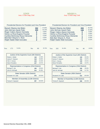### LEWIS Assy 113th-Cong 23rd

### MINERVA Assy 113th-Cong 23rd

|                                                                                                                                                                                                                   |                                                                 | <b>Presidential Electors for President and Vice-President</b>       |                                                                                                                                                                                                                   | <b>Presidential Electors for President and Vice-President</b> |                                                  |                                                               |
|-------------------------------------------------------------------------------------------------------------------------------------------------------------------------------------------------------------------|-----------------------------------------------------------------|---------------------------------------------------------------------|-------------------------------------------------------------------------------------------------------------------------------------------------------------------------------------------------------------------|---------------------------------------------------------------|--------------------------------------------------|---------------------------------------------------------------|
| <b>Barack Obama-Joe Biden</b><br>John McCain-Sarah Palin<br>Roger Calero-Alyson Kennedy<br>Gloria La Riva-Eugene Puryear<br>Cynthia McKinney-Rosa Clemente<br>Bob Barr-Wayne A. Root<br>Ralph Nader-Matt Gonzalez | 352<br>260<br>$\bf{0}$<br>0<br>$\overline{2}$<br>$\overline{2}$ | 57.05%<br>42.14%<br>$0.00\%$<br>$0.00\%$<br>0.16%<br>0.32%<br>0.32% | Barack Obama-Joe Biden<br>John McCain-Sarah Palin<br>Roger Calero-Alyson Kennedy<br>Gloria La Riva-Eugene Puryear<br>Cynthia McKinney-Rosa Clemente<br>Bob Barr-Wayne A. Root<br><b>Ralph Nader-Matt Gonzalez</b> |                                                               | 265<br>198<br>0<br>0<br>1<br>$\overline{2}$<br>1 | 56.75%<br>42.40%<br>0.00%<br>0.00%<br>0.21%<br>0.43%<br>0.21% |
| 74.25%<br>173<br>Yes:                                                                                                                                                                                             | No:                                                             | 25.75%<br>60                                                        | 81.45%<br>202<br>Yes:                                                                                                                                                                                             | No:                                                           | 46                                               | 18.55%                                                        |
|                                                                                                                                                                                                                   |                                                                 |                                                                     |                                                                                                                                                                                                                   |                                                               |                                                  |                                                               |
| Justice of the Supreme Court (4th District)                                                                                                                                                                       |                                                                 |                                                                     |                                                                                                                                                                                                                   | Justice of the Supreme Court (4th District)                   |                                                  |                                                               |
| Robert J. Muller                                                                                                                                                                                                  | 140                                                             | 13.36%                                                              | Robert J. Muller                                                                                                                                                                                                  | 193                                                           | 30.25%                                           |                                                               |
| James P. Dawson                                                                                                                                                                                                   | 418                                                             | 39.89%                                                              | James P. Dawson                                                                                                                                                                                                   | 151                                                           | 23.67%                                           |                                                               |
| Vito C. Caruso                                                                                                                                                                                                    | 243                                                             | 23.19%                                                              | Vito C. Caruso                                                                                                                                                                                                    | 150                                                           | 23.51%                                           |                                                               |
| <b>Steve Ferradino</b>                                                                                                                                                                                            | 247                                                             | 23.57%                                                              | <b>Steve Ferradino</b>                                                                                                                                                                                            | 144                                                           | 22.57%                                           |                                                               |
| Representative in Congress (23rd District)                                                                                                                                                                        |                                                                 |                                                                     |                                                                                                                                                                                                                   | Representative in Congress (23rd District)                    |                                                  |                                                               |
| Michael P. Oot                                                                                                                                                                                                    | 159                                                             | 33.62%                                                              | Michael P. Oot                                                                                                                                                                                                    | 166                                                           | 48.26%                                           |                                                               |
| John M. McHugh                                                                                                                                                                                                    | 314                                                             | 66.38%                                                              | John M. McHugh                                                                                                                                                                                                    | 178                                                           | 51.74%                                           |                                                               |
| State Senator (45th District)                                                                                                                                                                                     |                                                                 |                                                                     |                                                                                                                                                                                                                   | State Senator (45th District)                                 |                                                  |                                                               |
| Elizabeth O'C Little                                                                                                                                                                                              | 475                                                             | 100.00%                                                             | Elizabeth O'C Little                                                                                                                                                                                              | 312                                                           | 100.00%                                          |                                                               |
| Member of Assembly (113th District)                                                                                                                                                                               |                                                                 |                                                                     |                                                                                                                                                                                                                   | Member of Assembly (113th District)                           |                                                  |                                                               |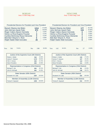### MORIAH Assy 113th-Cong 23rd

### NEWCOMB Assy 113th-Cong 23rd

| <b>Presidential Electors for President and Vice-President</b>                                                                                                                                                     |                                       |         |                                                               |                        | <b>Presidential Electors for President and Vice-President</b>                                                                                                                                              |     |                                |                                                                  |
|-------------------------------------------------------------------------------------------------------------------------------------------------------------------------------------------------------------------|---------------------------------------|---------|---------------------------------------------------------------|------------------------|------------------------------------------------------------------------------------------------------------------------------------------------------------------------------------------------------------|-----|--------------------------------|------------------------------------------------------------------|
| <b>Barack Obama-Joe Biden</b><br>John McCain-Sarah Palin<br>Roger Calero-Alyson Kennedy<br>Gloria La Riva-Eugene Puryear<br>Cynthia McKinney-Rosa Clemente<br>Bob Barr-Wayne A. Root<br>Ralph Nader-Matt Gonzalez | 1214<br>872<br>7<br>3<br>3<br>6<br>25 |         | 57.00%<br>40.94%<br>0.33%<br>0.14%<br>0.14%<br>0.28%<br>1.17% |                        | Barack Obama-Joe Biden<br>John McCain-Sarah Palin<br>Roger Calero-Alyson Kennedy<br>Gloria La Riva-Eugene Puryear<br>Cynthia McKinney-Rosa Clemente<br>Bob Barr-Wayne A. Root<br>Ralph Nader-Matt Gonzalez |     | 177<br>134<br>0<br>0<br>0<br>O | 56.73%<br>42.95%<br>0.00%<br>0.00%<br>0.32%<br>$0.00\%$<br>0.00% |
| 73.91%<br>561<br>Yes:<br>No:                                                                                                                                                                                      |                                       | 198     | 26.09%<br>Yes:                                                | 142                    | 84.02%                                                                                                                                                                                                     | No: | 27                             | 15.98%                                                           |
|                                                                                                                                                                                                                   |                                       |         |                                                               |                        |                                                                                                                                                                                                            |     |                                |                                                                  |
| Justice of the Supreme Court (4th District)                                                                                                                                                                       |                                       |         |                                                               |                        | Justice of the Supreme Court (4th District)                                                                                                                                                                |     |                                |                                                                  |
| Robert J. Muller                                                                                                                                                                                                  | 544                                   | 18.36%  |                                                               | Robert J. Muller       |                                                                                                                                                                                                            |     | 133                            | 27.42%                                                           |
| James P. Dawson                                                                                                                                                                                                   | 1172                                  | 39.55%  |                                                               | James P. Dawson        |                                                                                                                                                                                                            |     | 127                            | 26.19%                                                           |
| Vito C. Caruso                                                                                                                                                                                                    | 643                                   | 21.70%  |                                                               | Vito C. Caruso         |                                                                                                                                                                                                            |     | 114                            | 23.51%                                                           |
| <b>Steve Ferradino</b>                                                                                                                                                                                            | 604                                   | 20.38%  |                                                               | <b>Steve Ferradino</b> |                                                                                                                                                                                                            |     | 111                            | 22.89%                                                           |
| Representative in Congress (23rd District)                                                                                                                                                                        |                                       |         |                                                               |                        | Representative in Congress (23rd District)                                                                                                                                                                 |     |                                |                                                                  |
| Michael P. Oot                                                                                                                                                                                                    | 524                                   | 35.72%  |                                                               | Michael P. Oot         |                                                                                                                                                                                                            |     | 98                             | 41.53%                                                           |
| John M. McHugh                                                                                                                                                                                                    | 943                                   | 64.28%  |                                                               | John M. McHugh         |                                                                                                                                                                                                            |     | 138                            | 58.47%                                                           |
| State Senator (45th District)                                                                                                                                                                                     |                                       |         |                                                               |                        | State Senator (45th District)                                                                                                                                                                              |     |                                |                                                                  |
| Elizabeth O'C Little                                                                                                                                                                                              | 1437                                  | 100.00% |                                                               | Elizabeth O'C Little   |                                                                                                                                                                                                            |     | 222                            | 100.00%                                                          |
| Member of Assembly (113th District)                                                                                                                                                                               |                                       |         |                                                               |                        | Member of Assembly (113th District)                                                                                                                                                                        |     |                                |                                                                  |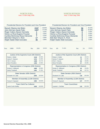### NORTH ELBA Assy 113th-Cong 20th

### NORTH HUDSON Assy 113th-Cong 20th

| <b>Presidential Electors for President and Vice-President</b>                                                                                                                                                     |                                                |         |                                                               |                        | <b>Presidential Electors for President and Vice-President</b>                                                                                                                                              |     |                                   |                                                                     |
|-------------------------------------------------------------------------------------------------------------------------------------------------------------------------------------------------------------------|------------------------------------------------|---------|---------------------------------------------------------------|------------------------|------------------------------------------------------------------------------------------------------------------------------------------------------------------------------------------------------------|-----|-----------------------------------|---------------------------------------------------------------------|
| <b>Barack Obama-Joe Biden</b><br>John McCain-Sarah Palin<br>Roger Calero-Alyson Kennedy<br>Gloria La Riva-Eugene Puryear<br>Cynthia McKinney-Rosa Clemente<br>Bob Barr-Wayne A. Root<br>Ralph Nader-Matt Gonzalez | 2157<br>1327<br>1<br>$\bf{0}$<br>7<br>17<br>35 |         | 60.86%<br>37.44%<br>0.03%<br>0.00%<br>0.20%<br>0.48%<br>0.99% |                        | Barack Obama-Joe Biden<br>John McCain-Sarah Palin<br>Roger Calero-Alyson Kennedy<br>Gloria La Riva-Eugene Puryear<br>Cynthia McKinney-Rosa Clemente<br>Bob Barr-Wayne A. Root<br>Ralph Nader-Matt Gonzalez |     | 56<br>99<br>0<br>0<br>0<br>3<br>0 | 35.44%<br>62.66%<br>$0.00\%$<br>0.00%<br>$0.00\%$<br>1.90%<br>0.00% |
| 80.19%<br>1089<br>Yes:<br>No:                                                                                                                                                                                     | 269                                            |         | 19.81%<br>Yes:                                                | 69                     | 74.19%                                                                                                                                                                                                     | No: | 24                                | 25.81%                                                              |
| Justice of the Supreme Court (4th District)                                                                                                                                                                       |                                                |         |                                                               |                        | Justice of the Supreme Court (4th District)                                                                                                                                                                |     |                                   |                                                                     |
| Robert J. Muller                                                                                                                                                                                                  | 1518                                           | 28.49%  |                                                               | Robert J. Muller       |                                                                                                                                                                                                            |     | 41                                | 16.21%                                                              |
| James P. Dawson                                                                                                                                                                                                   | 1241                                           | 23.29%  |                                                               | James P. Dawson        |                                                                                                                                                                                                            |     | 79                                | 31.23%                                                              |
| Vito C. Caruso                                                                                                                                                                                                    | 1288                                           | 24.17%  |                                                               | Vito C. Caruso         |                                                                                                                                                                                                            |     | 66                                | 26.09%                                                              |
| <b>Steve Ferradino</b>                                                                                                                                                                                            | 1282                                           | 24.06%  |                                                               | <b>Steve Ferradino</b> |                                                                                                                                                                                                            |     | 67                                | 26.48%                                                              |
| Representative in Congress (20th District)                                                                                                                                                                        |                                                |         |                                                               |                        | Representative in Congress (20th District)                                                                                                                                                                 |     |                                   |                                                                     |
| Kirsten E. Gillibrand                                                                                                                                                                                             | 1668                                           | 52.80%  |                                                               | Kirsten E. Gillibrand  |                                                                                                                                                                                                            |     | 48                                | 34.29%                                                              |
| <b>Sandy Treadwell</b>                                                                                                                                                                                            | 1491                                           | 47.20%  |                                                               | <b>Sandy Treadwell</b> |                                                                                                                                                                                                            |     | 92                                | 65.71%                                                              |
| State Senator (45th District)                                                                                                                                                                                     |                                                |         |                                                               |                        | State Senator (45th District)                                                                                                                                                                              |     |                                   |                                                                     |
| Elizabeth O'C Little                                                                                                                                                                                              | 2205                                           | 100.00% |                                                               | Elizabeth O'C Little   |                                                                                                                                                                                                            |     | 118                               | 100.00%                                                             |
| Member of Assembly (113th District)                                                                                                                                                                               |                                                |         |                                                               |                        | Member of Assembly (113th District)                                                                                                                                                                        |     |                                   |                                                                     |
| Teresa R. Sayward                                                                                                                                                                                                 | 1983                                           | 100.00% |                                                               | Teresa R. Sayward      |                                                                                                                                                                                                            |     | 107                               | 100.00%                                                             |
| <b>Town Clerk/Tax Collector</b>                                                                                                                                                                                   |                                                |         |                                                               |                        | <b>Town Councilman</b>                                                                                                                                                                                     |     |                                   |                                                                     |
| <b>Laurie Curtis Dudley</b>                                                                                                                                                                                       | 1930                                           | 100.00% |                                                               | Laureen L. DeZalia     |                                                                                                                                                                                                            |     | 115                               | 100.00%                                                             |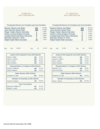### **SCHROON** Assy 113th-Cong 20th

### ST ARMAND Assy 114th-Cong 23rd

58.17% 39.89% 0.14% 0.14% 0.28% 0.55% 0.83%

| <b>Presidential Electors for President and Vice-President</b>                                                                                                                                              |                                                |                                                               |      |                                          | <b>Presidential Electors for President and Vice-President</b>                                                                                                                                                     |     |                                                 |                                                               |
|------------------------------------------------------------------------------------------------------------------------------------------------------------------------------------------------------------|------------------------------------------------|---------------------------------------------------------------|------|------------------------------------------|-------------------------------------------------------------------------------------------------------------------------------------------------------------------------------------------------------------------|-----|-------------------------------------------------|---------------------------------------------------------------|
| Barack Obama-Joe Biden<br>John McCain-Sarah Palin<br>Roger Calero-Alyson Kennedy<br>Gloria La Riva-Eugene Puryear<br>Cynthia McKinney-Rosa Clemente<br>Bob Barr-Wayne A. Root<br>Ralph Nader-Matt Gonzalez | 401<br>669<br>0<br>$\boldsymbol{0}$<br>1<br>16 | 36.86%<br>61.49%<br>0.09%<br>0.00%<br>0.00%<br>0.09%<br>1.47% |      |                                          | <b>Barack Obama-Joe Biden</b><br>John McCain-Sarah Palin<br>Roger Calero-Alyson Kennedy<br>Gloria La Riva-Eugene Puryear<br>Cynthia McKinney-Rosa Clemente<br>Bob Barr-Wayne A. Root<br>Ralph Nader-Matt Gonzalez |     | 420<br>288<br>$\overline{\mathbf{2}}$<br>4<br>6 | 58.17%<br>39.89%<br>0.14%<br>0.14%<br>0.28%<br>0.55%<br>0.83% |
| 86.55%<br>354<br>Yes:<br>No:                                                                                                                                                                               |                                                | 13.45%<br>55                                                  | Yes: | 261                                      | 81.06%                                                                                                                                                                                                            | No: |                                                 | 18.949<br>61                                                  |
| Justice of the Supreme Court (4th District)                                                                                                                                                                |                                                |                                                               |      |                                          | Justice of the Supreme Court (4th District)                                                                                                                                                                       |     |                                                 |                                                               |
| Robert J. Muller                                                                                                                                                                                           | 291                                            | 14.24%                                                        |      | Robert J. Muller                         |                                                                                                                                                                                                                   |     | 269                                             | 25.47%                                                        |
| James P. Dawson                                                                                                                                                                                            | 584                                            | 28.57%                                                        |      | James P. Dawson                          |                                                                                                                                                                                                                   |     | 264                                             | 25.00%                                                        |
| Vito C. Caruso<br><b>Steve Ferradino</b>                                                                                                                                                                   | 591                                            | 28.91%<br>28.28%                                              |      | Vito C. Caruso<br><b>Steve Ferradino</b> |                                                                                                                                                                                                                   |     | 275                                             | 26.04%<br>23.48%                                              |
|                                                                                                                                                                                                            | 578                                            |                                                               |      |                                          |                                                                                                                                                                                                                   |     | 248                                             |                                                               |
| Representative in Congress (20th District)                                                                                                                                                                 |                                                |                                                               |      |                                          | Representative in Congress (23rd District)                                                                                                                                                                        |     |                                                 |                                                               |
| Kirsten E. Gillibrand                                                                                                                                                                                      | 459                                            | 45.13%                                                        |      | Michael P. Oot                           |                                                                                                                                                                                                                   |     | 268                                             | 45.66%                                                        |
| <b>Sandy Treadwell</b>                                                                                                                                                                                     | 558                                            | 54.87%                                                        |      | John M. McHugh                           |                                                                                                                                                                                                                   |     | 319                                             | 54.34%                                                        |
| State Senator (45th District)                                                                                                                                                                              |                                                |                                                               |      |                                          | State Senator (45th District)                                                                                                                                                                                     |     |                                                 |                                                               |
| Elizabeth O'C Little                                                                                                                                                                                       | 807                                            | 100.00%                                                       |      | Elizabeth O'C Little                     |                                                                                                                                                                                                                   |     | 454                                             | 100.00%                                                       |
|                                                                                                                                                                                                            |                                                |                                                               |      |                                          |                                                                                                                                                                                                                   |     |                                                 |                                                               |
| Member of Assembly (113th District)                                                                                                                                                                        |                                                |                                                               |      |                                          | Member of Assembly (114th District)                                                                                                                                                                               |     |                                                 |                                                               |

**307** 32.73%

| Justice of the Supreme Court (4th District) |                                     |         |  |  |  |
|---------------------------------------------|-------------------------------------|---------|--|--|--|
| Robert J. Muller                            | 269                                 | 25.47%  |  |  |  |
| James P. Dawson                             | 264                                 | 25.00%  |  |  |  |
| Vito C. Caruso                              | 275                                 | 26.04%  |  |  |  |
| Steve Ferradino                             | 248                                 | 23.48%  |  |  |  |
| Representative in Congress (23rd District)  |                                     |         |  |  |  |
| Michael P. Oot                              | 268                                 | 45.66%  |  |  |  |
| John M. McHugh                              | 319                                 | 54.34%  |  |  |  |
| State Senator (45th District)               |                                     |         |  |  |  |
| Elizabeth O'C Little                        | 454                                 | 100.00% |  |  |  |
|                                             | Member of Assembly (114th District) |         |  |  |  |
| Janet L. Duprey                             | 393                                 | 100.00% |  |  |  |

Edmund R. Williford, Sr.

Town Councilman

Edward T. Haroff **631** 67.27%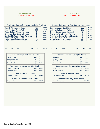### TICONDEROGA Assy 113th-Cong 20th

### TICONDEROGA Assy 113th-Cong 23rd

| <b>Presidential Electors for President and Vice-President</b>                                                                                                                                              |                                             |                  |                                                               |                                          | <b>Presidential Electors for President and Vice-President</b>                                                                                                                                              |     |                                      |                                                                  |
|------------------------------------------------------------------------------------------------------------------------------------------------------------------------------------------------------------|---------------------------------------------|------------------|---------------------------------------------------------------|------------------------------------------|------------------------------------------------------------------------------------------------------------------------------------------------------------------------------------------------------------|-----|--------------------------------------|------------------------------------------------------------------|
| Barack Obama-Joe Biden<br>John McCain-Sarah Palin<br>Roger Calero-Alyson Kennedy<br>Gloria La Riva-Eugene Puryear<br>Cynthia McKinney-Rosa Clemente<br>Bob Barr-Wayne A. Root<br>Ralph Nader-Matt Gonzalez | 521<br>519<br>2<br>$\bf{0}$<br>3<br>4<br>10 |                  | 49.20%<br>49.01%<br>0.19%<br>0.00%<br>0.28%<br>0.38%<br>0.94% |                                          | Barack Obama-Joe Biden<br>John McCain-Sarah Palin<br>Roger Calero-Alyson Kennedy<br>Gloria La Riva-Eugene Puryear<br>Cynthia McKinney-Rosa Clemente<br>Bob Barr-Wayne A. Root<br>Ralph Nader-Matt Gonzalez |     | 563<br>540<br>6<br>0<br>5<br>3<br>13 | 49.82%<br>47.79%<br>0.53%<br>$0.00\%$<br>0.44%<br>0.27%<br>1.15% |
| 80.66%<br>317<br>Yes:<br>No:                                                                                                                                                                               |                                             | 76               | 19.34%<br>Yes:                                                | 377                                      | 80.73%                                                                                                                                                                                                     | No: | 90                                   | 19.27%                                                           |
|                                                                                                                                                                                                            |                                             |                  |                                                               |                                          |                                                                                                                                                                                                            |     |                                      |                                                                  |
| Justice of the Supreme Court (4th District)                                                                                                                                                                |                                             |                  |                                                               |                                          | Justice of the Supreme Court (4th District)                                                                                                                                                                |     |                                      |                                                                  |
| Robert J. Muller                                                                                                                                                                                           | 353                                         | 20.52%           |                                                               | Robert J. Muller                         |                                                                                                                                                                                                            |     | 379                                  | 20.19%                                                           |
| James P. Dawson                                                                                                                                                                                            | 497                                         | 28.90%           |                                                               | James P. Dawson                          |                                                                                                                                                                                                            |     | 504                                  | 26.85%                                                           |
| Vito C. Caruso<br><b>Steve Ferradino</b>                                                                                                                                                                   | 442<br>428                                  | 25.70%<br>24.88% |                                                               | Vito C. Caruso<br><b>Steve Ferradino</b> |                                                                                                                                                                                                            |     | 501<br>493                           | 26.69%<br>26.27%                                                 |
| Representative in Congress (20th District)                                                                                                                                                                 |                                             |                  |                                                               |                                          | Representative in Congress (23rd District)                                                                                                                                                                 |     |                                      |                                                                  |
| Kirsten E. Gillibrand                                                                                                                                                                                      | 484                                         | 50.95%           |                                                               | Michael P. Oot                           |                                                                                                                                                                                                            |     | 259                                  | 29.98%                                                           |
| <b>Sandy Treadwell</b>                                                                                                                                                                                     | 466                                         | 49.05%           |                                                               | John M. McHugh                           |                                                                                                                                                                                                            |     | 605                                  | 70.02%                                                           |
| State Senator (45th District)                                                                                                                                                                              |                                             |                  |                                                               |                                          | State Senator (45th District)                                                                                                                                                                              |     |                                      |                                                                  |
| Elizabeth O'C Little                                                                                                                                                                                       | 795                                         | 100.00%          |                                                               | Elizabeth O'C Little                     |                                                                                                                                                                                                            |     | 876                                  | 100.00%                                                          |
| Member of Assembly (113th District)                                                                                                                                                                        |                                             |                  |                                                               |                                          | Member of Assembly (113th District)                                                                                                                                                                        |     |                                      |                                                                  |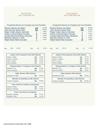### WESTPORT Assy 113th-Cong 23rd

### WILLSBORO Assy 113th-Cong 23rd

|      |     |                                                                                                                                                                                                                   | <b>Presidential Electors for President and Vice-President</b> |                           |                                                                  |  |
|------|-----|-------------------------------------------------------------------------------------------------------------------------------------------------------------------------------------------------------------------|---------------------------------------------------------------|---------------------------|------------------------------------------------------------------|--|
|      |     | Barack Obama-Joe Biden<br>John McCain-Sarah Palin<br>Roger Calero-Alyson Kennedy<br>Gloria La Riva-Eugene Puryear<br>Cynthia McKinney-Rosa Clemente<br>Bob Barr-Wayne A. Root<br><b>Ralph Nader-Matt Gonzalez</b> |                                                               | 444<br>281<br>O<br>2<br>4 | 60.08%<br>38.02%<br>0.95%<br>$0.00\%$<br>0.27%<br>0.54%<br>0.14% |  |
| Yes: | 276 | 81.42%                                                                                                                                                                                                            | No:                                                           | 63                        | 18.58%                                                           |  |

### Presidential Electors for President and Vice-President

| 56.06% |
|--------|
| 42.02% |
| 0.11%  |
| 0.11%  |
| 0.21%  |
| 0.43%  |
| 1.06%  |
|        |

|  | 0: $63$ 18.58% $Yes:$ 247 82.61% |  |  | No: 52 17.39% |
|--|----------------------------------|--|--|---------------|
|  |                                  |  |  |               |

| Justice of the Supreme Court (4th District) |     |         |
|---------------------------------------------|-----|---------|
| Robert J. Muller                            | 233 | 19.02%  |
| James P. Dawson                             | 443 | 36.16%  |
| Vito C. Caruso                              | 278 | 22.69%  |
| Steve Ferradino                             | 271 | 22.12%  |
| Representative in Congress (23rd District)  |     |         |
| Michael P. Oot                              | 266 | 42.49%  |
| John M. McHugh                              | 360 | 57.51%  |
| State Senator (45th District)               |     |         |
| Elizabeth O'C Little                        | 531 | 100.00% |
| Member of Assembly (113th District)         |     |         |
| Teresa R. Sayward                           | 540 | 100.00% |
| Town Clerk/Tax Collector (Unexpired)        |     |         |
| Sheila A. Borden                            | 404 | 69.90%  |
| Nancy A. Sherman                            | 174 | 30.10%  |
| <b>Town Councilman (Unexpired)</b>          |     |         |
| Russell L. Paquette                         | 444 | 67.07%  |
| George W. King                              | 218 | 32.93%  |

| Justice of the Supreme Court (4th District) |     |         |  |  |
|---------------------------------------------|-----|---------|--|--|
| Robert J. Muller                            | 310 | 21.71%  |  |  |
| James P. Dawson                             | 418 | 29.27%  |  |  |
| Vito C. Caruso                              | 363 | 25.42%  |  |  |
| Steve Ferradino                             | 337 | 23.60%  |  |  |
| Representative in Congress (23rd District)  |     |         |  |  |
| Michael P. Oot                              | 303 | 39.97%  |  |  |
| John M. McHugh                              | 455 | 60.03%  |  |  |
| State Senator (45th District)               |     |         |  |  |
| Elizabeth O'C Little                        | 694 | 100.00% |  |  |
| Member of Assembly (113th District)         |     |         |  |  |
| Teresa R. Sayward                           | 754 | 100.00% |  |  |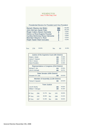### WILMINGTON Assy 113th-Cong 23rd

### Presidential Electors for President and Vice-President

| Barack Obama-Joe Biden<br>384          | 59.26% |
|----------------------------------------|--------|
| John McCain-Sarah Palin<br>260         | 40.12% |
| Roger Calero-Alyson Kennedy<br>0       | 0.00%  |
| Gloria La Riva-Eugene Puryear<br>1     | 0.15%  |
| Cynthia McKinney-Rosa Clemente<br>0    | 0.00%  |
| Bob Barr-Wayne A. Root<br>$\mathbf{p}$ | 0.31%  |
| Ralph Nader-Matt Gonzalez<br>1         | 0.15%  |

| 80.65%<br>Yes:<br>250<br>-60<br>No: | 19.35% |
|-------------------------------------|--------|
|-------------------------------------|--------|

| Justice of the Supreme Court (4th District) |     |                               |     |                                            |         |
|---------------------------------------------|-----|-------------------------------|-----|--------------------------------------------|---------|
| Robert J. Muller                            |     |                               |     | 246                                        | 25.39%  |
| James P. Dawson                             |     |                               |     | 233                                        | 24.05%  |
| Vito C. Caruso                              |     |                               |     | 253                                        | 26.11%  |
| <b>Steve Ferradino</b>                      |     |                               |     | 237                                        | 24.46%  |
|                                             |     |                               |     | Representative in Congress (23rd District) |         |
| Michael P. Oot                              |     |                               |     | 215                                        | 43.43%  |
| John M. McHugh                              |     |                               |     | 280                                        | 56.57%  |
|                                             |     | State Senator (45th District) |     |                                            |         |
| Elizabeth O'C Little                        |     |                               |     | 448                                        | 100.00% |
|                                             |     |                               |     | Member of Assembly (113th District)        |         |
| Teresa R. Sayward                           |     |                               |     | 393                                        | 100.00% |
|                                             |     | Town Justice                  |     |                                            |         |
| Lora W. Bushy                               |     |                               |     | 268                                        | 59.82%  |
| William T. Minogue                          |     |                               |     | 180                                        | 40.18%  |
| #1 Yes:                                     | 206 | 51.37%                        | No: | 195                                        | 48.63%  |
|                                             |     |                               |     |                                            |         |
| #2 Yes:                                     | 195 | 48.39%                        | No: | 208                                        | 51.61%  |
| #3 Yes:                                     | 207 | 51.36%                        | No: | 196                                        | 48.64%  |